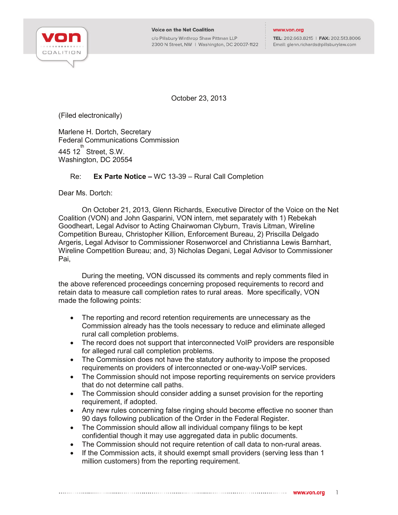

c/o Pillsbury Winthrop Shaw Pittman LLP 2300 N Street, NW | Washington, DC 20037-1122

TEL: 202.663.8215 | FAX: 202.513.8006 Email: glenn.richards@pillsburylaw.com

October 23, 2013

(Filed electronically)

Marlene H. Dortch, Secretary Federal Communications Commission 445 12 $^{\text{th}}$  Street, S.W. Washington, DC 20554

## Re: **Ex Parte Notice –** WC 13-39 – Rural Call Completion

Dear Ms. Dortch:

On October 21, 2013, Glenn Richards, Executive Director of the Voice on the Net Coalition (VON) and John Gasparini, VON intern, met separately with 1) Rebekah Goodheart, Legal Advisor to Acting Chairwoman Clyburn, Travis Litman, Wireline Competition Bureau, Christopher Killion, Enforcement Bureau, 2) Priscilla Delgado Argeris, Legal Advisor to Commissioner Rosenworcel and Christianna Lewis Barnhart, Wireline Competition Bureau; and, 3) Nicholas Degani, Legal Advisor to Commissioner Pai,

During the meeting, VON discussed its comments and reply comments filed in the above referenced proceedings concerning proposed requirements to record and retain data to measure call completion rates to rural areas. More specifically, VON made the following points:

- The reporting and record retention requirements are unnecessary as the Commission already has the tools necessary to reduce and eliminate alleged rural call completion problems.
- The record does not support that interconnected VoIP providers are responsible for alleged rural call completion problems.
- The Commission does not have the statutory authority to impose the proposed requirements on providers of interconnected or one-way-VoIP services.
- The Commission should not impose reporting requirements on service providers that do not determine call paths.
- The Commission should consider adding a sunset provision for the reporting requirement, if adopted.
- Any new rules concerning false ringing should become effective no sooner than 90 days following publication of the Order in the Federal Register.
- The Commission should allow all individual company filings to be kept confidential though it may use aggregated data in public documents.
- The Commission should not require retention of call data to non-rural areas.
- If the Commission acts, it should exempt small providers (serving less than 1 million customers) from the reporting requirement.